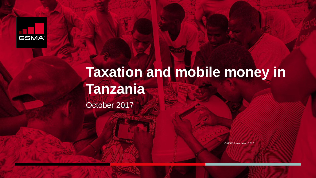

## **Taxation and mobile money in Tanzania** October 2017

© GSM Association 2017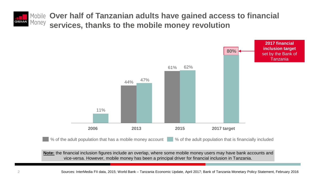

**Over half of Tanzanian adults have gained access to financial services, thanks to the mobile money revolution** 



% of the adult population that has a mobile money account % of the adult population that is financially included

**Note:** the financial inclusion figures include an overlap, where some mobile money users may have bank accounts and vice-versa. However, mobile money has been a principal driver for financial inclusion in Tanzania.

2 Sources: InterMedia FII data, 2015; World Bank – Tanzania Economic Update, April 2017; Bank of Tanzania Monetary Policy Statement, February 2016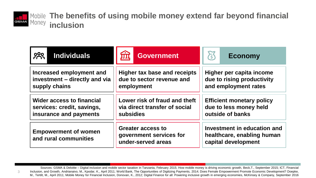

3

**The benefits of using mobile money extend far beyond financial GSMA MONEY inclusion** 

| <b>800</b>                                           | प्राप्त                                                                   | Š                                                                                |  |  |  |
|------------------------------------------------------|---------------------------------------------------------------------------|----------------------------------------------------------------------------------|--|--|--|
| <b>Individuals</b>                                   | <b>Government</b>                                                         | <b>Economy</b>                                                                   |  |  |  |
| Increased employment and                             | Higher tax base and receipts                                              | Higher per capita income                                                         |  |  |  |
| investment - directly and via                        | due to sector revenue and                                                 | due to rising productivity                                                       |  |  |  |
| supply chains                                        | employment                                                                | and employment rates                                                             |  |  |  |
| <b>Wider access to financial</b>                     | Lower risk of fraud and theft                                             | <b>Efficient monetary policy</b>                                                 |  |  |  |
| services: credit, savings,                           | via direct transfer of social                                             | due to less money held                                                           |  |  |  |
| insurance and payments                               | subsidies                                                                 | outside of banks                                                                 |  |  |  |
| <b>Empowerment of women</b><br>and rural communities | <b>Greater access to</b><br>government services for<br>under-served areas | Investment in education and<br>healthcare, enabling human<br>capital development |  |  |  |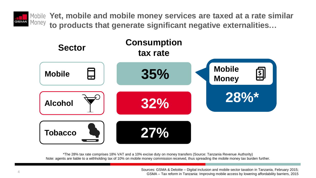

**Yet, mobile and mobile money services are taxed at a rate similar to products that generate significant negative externalities…**



\*The 28% tax rate comprises 18% VAT and a 10% excise duty on money transfers (Source: Tanzania Revenue Authority) Note: agents are liable to a withholding tax of 10% on mobile money commission received, thus spreading the mobile money tax burden further.

> Sources: GSMA & Deloitte – Digital inclusion and mobile sector taxation in Tanzania, February 2015; GSMA – Tax reform in Tanzania: Improving mobile access by lowering affordability barriers, 2015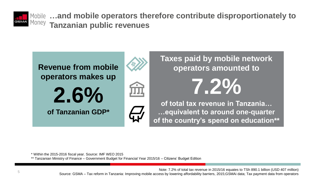

**…and mobile operators therefore contribute disproportionately to Tanzanian public revenues**



**operators amounted to 7.2% of total tax revenue in Tanzania… …equivalent to around one-quarter of the country's spend on education\*\***

\* Within the 2015-2016 fiscal year. Source: IMF WEO 2015

\*\* Tanzanian Ministry of Finance – Government Budget for Financial Year 2015/16 – Citizens' Budget Edition

Note: 7.2% of total tax revenue in 2015/16 equates to TSh 890.1 billion (USD 407 million) Source: GSMA – Tax reform in Tanzania: Improving mobile access by lowering affordability barriers, 2015;GSMAi data; Tax payment data from operators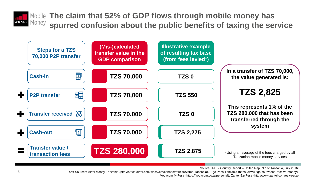

**The claim that 52% of GDP flows through mobile money has spurred confusion about the public benefits of taxing the service**



Source: IMF – Country Report – United Republic of Tanzania, July 2016;

Tariff Sources: Airtel Money Tanzania (http://africa.airtel.com/wps/wcm/connect/africarevamp/Tanzania), Tigo Pesa Tanzania (https://www.tigo.co.tz/send-receive-money), Vodacom M-Pesa (https://vodacom.co.tz/personal), Zantel EzyPesa (http://www.zantel.com/ezy-pesa)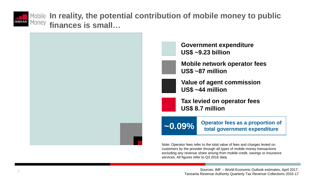

**In reality, the potential contribution of mobile money to public finances is small…**



**Government expenditure US\$ ~9.23 billion**

**Mobile network operator fees US\$ ~87 million**

**Value of agent commission US\$ ~44 million**

**Tax levied on operator fees US\$ 8.7 million**

**~0.09% Operator fees as a proportion of total government expenditure**

Note: Operator fees refer to the total value of fees and charges levied on customers by the provider through all types of mobile money transactions excluding any revenue share arising from mobile credit, savings or insurance services. All figures refer to Q3 2016 data.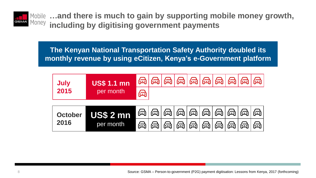

**…and there is much to gain by supporting mobile money growth, including by digitising government payments**

**The Kenyan National Transportation Safety Authority doubled its monthly revenue by using eCitizen, Kenya's e-Government platform** 

| <b>US\$ 1.1 mn</b><br><b>July</b>                |           |   |  |  | $\color{blue}{\text{A}} \color{blue}{\text{A}} \color{blue}{\text{A}} \color{blue}{\text{A}} \color{blue}{\text{A}} \color{blue}{\text{A}} \color{blue}{\text{A}} \color{blue}{\text{A}} \color{blue}{\text{A}} \color{blue}{\text{A}} \color{blue}{\text{A}} \color{blue}{\text{A}} \color{blue}{\text{A}} \color{blue}{\text{A}} \color{blue}{\text{A}} \color{blue}{\text{A}} \color{blue}{\text{A}} \color{blue}{\text{A}} \color{blue}{\text{A}} \color{blue}{\text{A}} \color{blue}{\text{A}} \color{blue}{\text{A}}$ |                 |   |
|--------------------------------------------------|-----------|---|--|--|-----------------------------------------------------------------------------------------------------------------------------------------------------------------------------------------------------------------------------------------------------------------------------------------------------------------------------------------------------------------------------------------------------------------------------------------------------------------------------------------------------------------------------|-----------------|---|
| 2015                                             | per month | A |  |  |                                                                                                                                                                                                                                                                                                                                                                                                                                                                                                                             |                 |   |
| US\$ 2 mn<br><b>October</b><br>2016<br>per month |           |   |  |  |                                                                                                                                                                                                                                                                                                                                                                                                                                                                                                                             | @ @ @ @ @ @ @ @ | 盃 |
|                                                  | al        |   |  |  | $\bigcirc$ $\bigcirc$ $\bigcirc$ $\bigcirc$ $\bigcirc$ $\bigcirc$ $\bigcirc$ $\bigcirc$ $\bigcirc$                                                                                                                                                                                                                                                                                                                                                                                                                          | 盃               |   |

8 Source: GSMA – Person-to-government (P2G) payment digitisation: Lessons from Kenya, 2017 (forthcoming)